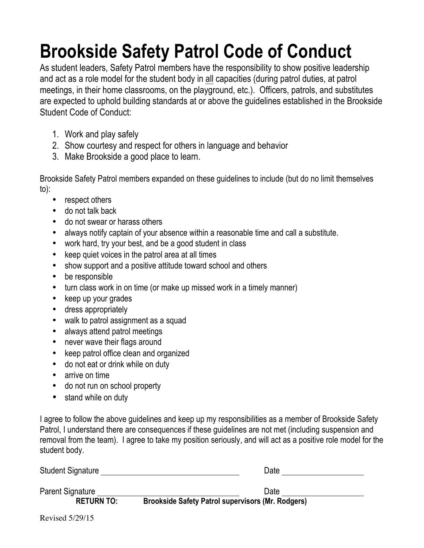## **Brookside Safety Patrol Code of Conduct**

As student leaders, Safety Patrol members have the responsibility to show positive leadership and act as a role model for the student body in all capacities (during patrol duties, at patrol meetings, in their home classrooms, on the playground, etc.). Officers, patrols, and substitutes are expected to uphold building standards at or above the guidelines established in the Brookside Student Code of Conduct:

- 1. Work and play safely
- 2. Show courtesy and respect for others in language and behavior
- 3. Make Brookside a good place to learn.

Brookside Safety Patrol members expanded on these guidelines to include (but do no limit themselves to):

- respect others
- do not talk back
- do not swear or harass others
- always notify captain of your absence within a reasonable time and call a substitute.
- work hard, try your best, and be a good student in class
- keep quiet voices in the patrol area at all times
- show support and a positive attitude toward school and others
- be responsible
- turn class work in on time (or make up missed work in a timely manner)
- keep up your grades
- dress appropriately
- walk to patrol assignment as a squad
- always attend patrol meetings
- never wave their flags around
- keep patrol office clean and organized
- do not eat or drink while on duty
- arrive on time
- do not run on school property
- stand while on duty

I agree to follow the above guidelines and keep up my responsibilities as a member of Brookside Safety Patrol, I understand there are consequences if these guidelines are not met (including suspension and removal from the team). I agree to take my position seriously, and will act as a positive role model for the student body.

| <b>Student Signature</b> | Date                                                     |  |
|--------------------------|----------------------------------------------------------|--|
| Parent Signature         | Date                                                     |  |
| <b>RETURN TO:</b>        | <b>Brookside Safety Patrol supervisors (Mr. Rodgers)</b> |  |